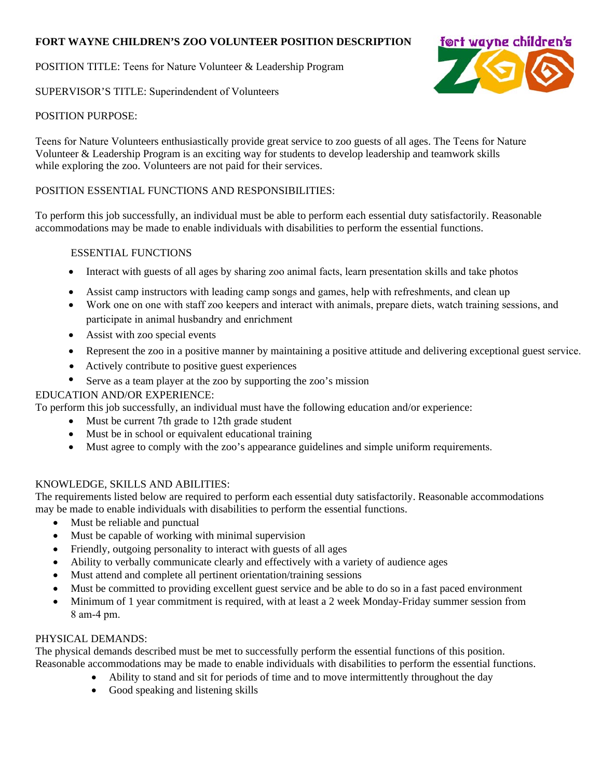# **FORT WAYNE CHILDREN'S ZOO VOLUNTEER POSITION DESCRIPTION**

POSITION TITLE: Teens for Nature Volunteer & Leadership Program

SUPERVISOR'S TITLE: Superindendent of Volunteers



Teens for Nature Volunteers enthusiastically provide great service to zoo guests of all ages. The Teens for Nature Volunteer & Leadership Program is an exciting way for students to develop leadership and teamwork skills while exploring the zoo. Volunteers are not paid for their services.

# POSITION ESSENTIAL FUNCTIONS AND RESPONSIBILITIES:

To perform this job successfully, an individual must be able to perform each essential duty satisfactorily. Reasonable accommodations may be made to enable individuals with disabilities to perform the essential functions.

## ESSENTIAL FUNCTIONS

- Interact with guests of all ages by sharing zoo animal facts, learn presentation skills and take photos
- Assist camp instructors with leading camp songs and games, help with refreshments, and clean up
- Work one on one with staff zoo keepers and interact with animals, prepare diets, watch training sessions, and participate in animal husbandry and enrichment
- Assist with zoo special events
- Represent the zoo in a positive manner by maintaining a positive attitude and delivering exceptional guest service.
- Actively contribute to positive guest experiences
- Serve as a team player at the zoo by supporting the zoo's mission

## EDUCATION AND/OR EXPERIENCE:

To perform this job successfully, an individual must have the following education and/or experience:

- Must be current 7th grade to 12th grade student
- Must be in school or equivalent educational training
- Must agree to comply with the zoo's appearance guidelines and simple uniform requirements.

## KNOWLEDGE, SKILLS AND ABILITIES:

The requirements listed below are required to perform each essential duty satisfactorily. Reasonable accommodations may be made to enable individuals with disabilities to perform the essential functions.

- Must be reliable and punctual
- Must be capable of working with minimal supervision
- Friendly, outgoing personality to interact with guests of all ages
- Ability to verbally communicate clearly and effectively with a variety of audience ages
- Must attend and complete all pertinent orientation/training sessions
- Must be committed to providing excellent guest service and be able to do so in a fast paced environment
- Minimum of 1 year commitment is required, with at least a 2 week Monday-Friday summer session from 8 am-4 pm.

## PHYSICAL DEMANDS:

The physical demands described must be met to successfully perform the essential functions of this position. Reasonable accommodations may be made to enable individuals with disabilities to perform the essential functions.

- Ability to stand and sit for periods of time and to move intermittently throughout the day
- Good speaking and listening skills